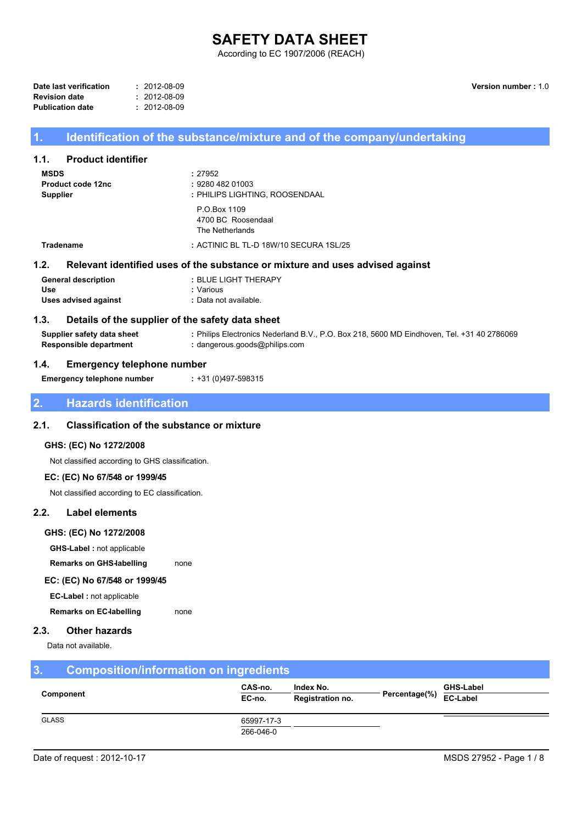# **SAFETY DATA SHEET**

According to EC 1907/2006 (REACH)

| Date last verification  | $: 2012 - 08 - 09$ |
|-------------------------|--------------------|
| <b>Revision date</b>    | $: 2012 - 08 - 09$ |
| <b>Publication date</b> | $: 2012 - 08 - 09$ |

Version number: 1.0

# Identification of the substance/mixture and of the company/undertaking

#### $1.1.$ **Product identifier**

 $\overline{1}$ 

| <b>MSDS</b><br><b>Product code 12nc</b><br><b>Supplier</b> | : 27952<br>: 9280 482 01003<br>: PHILIPS LIGHTING, ROOSENDAAL                 |
|------------------------------------------------------------|-------------------------------------------------------------------------------|
|                                                            | P.O.Box 1109<br>4700 BC Roosendaal<br>The Netherlands                         |
| <b>Tradename</b>                                           | : ACTINIC BL TL-D 18W/10 SECURA 1SL/25                                        |
| 1.2.                                                       | Relevant identified uses of the substance or mixture and uses advised against |
| <b>General description</b><br>Use                          | : BLUE LIGHT THERAPY<br>: Various                                             |

: +31 (0)497-598315

#### **Uses advised against** : Data not available.

#### $1.3.$ Details of the supplier of the safety data sheet

Supplier safety data sheet : Philips Electronics Nederland B.V., P.O. Box 218, 5600 MD Eindhoven, Tel. +31 40 2786069 **Responsible department** : dangerous.goods@philips.com

#### $1.4.$ **Emergency telephone number**

**Emergency telephone number** 

#### $\overline{2}$ **Hazards identification**

#### $2.1.$ **Classification of the substance or mixture**

### GHS: (EC) No 1272/2008

Not classified according to GHS classification.

### EC: (EC) No 67/548 or 1999/45

Not classified according to EC classification.

#### $2.2.$ **Label elements**

### GHS: (EC) No 1272/2008

**GHS-Label : not applicable** 

**Remarks on GHS-labelling** none

# EC: (EC) No 67/548 or 1999/45

EC-Label: not applicable

**Remarks on EC-labelling** none

#### $2.3.$ **Other hazards**

Data not available.

#### $\overline{3}$ . **Composition/information on ingredients** CAS-no. Index No. **GHS-Label** Component Percentage(%)  $EC-no.$ Registration no. EC-Label **GLASS** 65997-17-3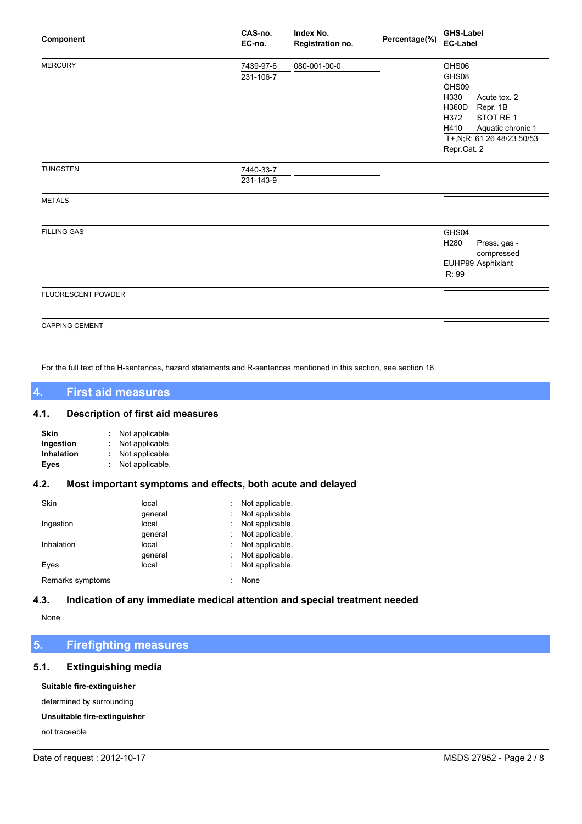| Component             | CAS-no.   | Index No.        |               | <b>GHS-Label</b>                               |  |
|-----------------------|-----------|------------------|---------------|------------------------------------------------|--|
|                       | EC-no.    | Registration no. | Percentage(%) | <b>EC-Label</b>                                |  |
| <b>MERCURY</b>        | 7439-97-6 | 080-001-00-0     |               | GHS06                                          |  |
|                       | 231-106-7 |                  |               | GHS08                                          |  |
|                       |           |                  |               | GHS09                                          |  |
|                       |           |                  |               | H330<br>Acute tox. 2                           |  |
|                       |           |                  |               | H360D<br>Repr. 1B                              |  |
|                       |           |                  |               | H372<br>STOT RE 1                              |  |
|                       |           |                  |               | H410<br>Aquatic chronic 1                      |  |
|                       |           |                  |               | T+,N;R: 61 26 48/23 50/53                      |  |
|                       |           |                  |               | Repr.Cat. 2                                    |  |
| <b>TUNGSTEN</b>       | 7440-33-7 |                  |               |                                                |  |
|                       | 231-143-9 |                  |               |                                                |  |
| <b>METALS</b>         |           |                  |               |                                                |  |
|                       |           |                  |               |                                                |  |
| <b>FILLING GAS</b>    |           |                  |               | GHS04                                          |  |
|                       |           |                  |               | H <sub>280</sub><br>Press. gas -<br>compressed |  |
|                       |           |                  |               | EUHP99 Asphixiant                              |  |
|                       |           |                  |               | R: 99                                          |  |
| FLUORESCENT POWDER    |           |                  |               |                                                |  |
|                       |           |                  |               |                                                |  |
| <b>CAPPING CEMENT</b> |           |                  |               |                                                |  |
|                       |           |                  |               |                                                |  |

For the full text of the H-sentences, hazard statements and R-sentences mentioned in this section, see section 16.

#### $\overline{\mathbf{4}}$ **First aid measures**

#### $4.1.$ **Description of first aid measures**

| Skin              | Not applicable. |
|-------------------|-----------------|
| Ingestion         | Not applicable. |
| <b>Inhalation</b> | Not applicable. |
| Eyes              | Not applicable. |

#### Most important symptoms and effects, both acute and delayed  $4.2.$

| Skin             | local   | Not applicable. |
|------------------|---------|-----------------|
|                  | qeneral | Not applicable. |
| Ingestion        | local   | Not applicable. |
|                  | qeneral | Not applicable. |
| Inhalation       | local   | Not applicable. |
|                  | qeneral | Not applicable. |
| Eyes             | local   | Not applicable. |
| Remarks symptoms |         | None            |

#### $4.3.$ Indication of any immediate medical attention and special treatment needed

None

#### $5<sub>1</sub>$ **Firefighting measures**

#### $5.1.$ **Extinguishing media**

Suitable fire-extinguisher

determined by surrounding

Unsuitable fire-extinguisher

not traceable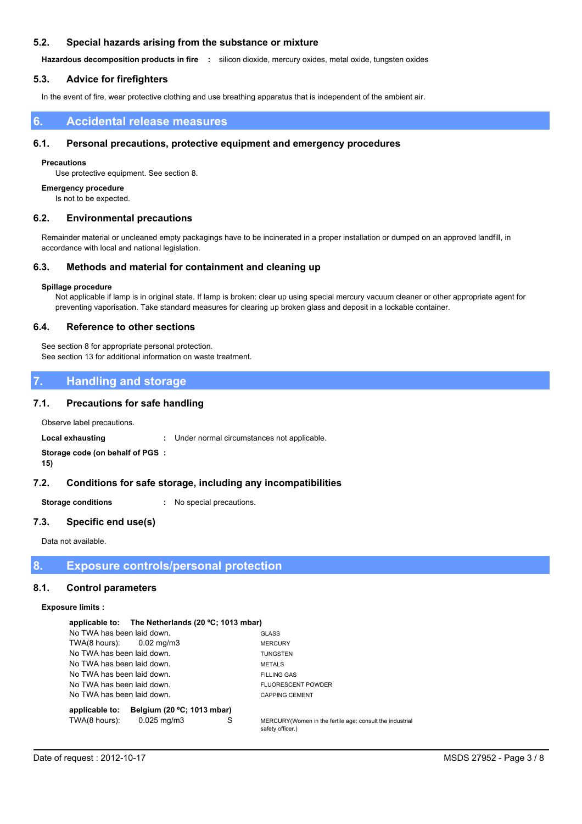#### $5.2.$ Special hazards arising from the substance or mixture

Hazardous decomposition products in fire : silicon dioxide, mercury oxides, metal oxide, tungsten oxides

#### **Advice for firefighters**  $5.3.$

In the event of fire, wear protective clothing and use breathing apparatus that is independent of the ambient air.

#### **Accidental release measures** 6.

#### $6.1.$ Personal precautions, protective equipment and emergency procedures

### **Precautions**

Use protective equipment. See section 8.

### **Emergency procedure**

Is not to be expected.

#### $6.2.$ **Environmental precautions**

Remainder material or uncleaned empty packagings have to be incinerated in a proper installation or dumped on an approved landfill, in accordance with local and national legislation.

#### $6.3.$ Methods and material for containment and cleaning up

### Spillage procedure

Not applicable if lamp is in original state. If lamp is broken: clear up using special mercury vacuum cleaner or other appropriate agent for preventing vaporisation. Take standard measures for clearing up broken glass and deposit in a lockable container.

#### $6.4.$ **Reference to other sections**

See section 8 for appropriate personal protection. See section 13 for additional information on waste treatment.

#### **Handling and storage**  $\overline{7}$ .

#### $7.1.$ **Precautions for safe handling**

Observe label precautions.

**Local exhausting** : Under normal circumstances not applicable.

### Storage code (on behalf of PGS :  $15)$

#### $7.2.$ Conditions for safe storage, including any incompatibilities

**Storage conditions** : No special precautions.

#### $7.3.$ Specific end use(s)

Data not available.

8. **Exposure controls/personal protection** 

#### $8.1.$ **Control parameters**

### **Exposure limits:**

|                            | applicable to: The Netherlands (20 °C; 1013 mbar) |   |                                                                              |
|----------------------------|---------------------------------------------------|---|------------------------------------------------------------------------------|
| No TWA has been laid down. |                                                   |   | <b>GLASS</b>                                                                 |
| $TWA(8 hours):$ 0.02 mg/m3 |                                                   |   | <b>MERCURY</b>                                                               |
| No TWA has been laid down. |                                                   |   | <b>TUNGSTEN</b>                                                              |
| No TWA has been laid down. |                                                   |   | <b>METALS</b>                                                                |
| No TWA has been laid down. |                                                   |   | <b>FILLING GAS</b>                                                           |
| No TWA has been laid down. |                                                   |   | <b>FLUORESCENT POWDER</b>                                                    |
| No TWA has been laid down. |                                                   |   | <b>CAPPING CEMENT</b>                                                        |
| applicable to:             | Belgium (20 °C; 1013 mbar)                        |   |                                                                              |
| TWA(8 hours):              | $0.025 \,\mathrm{mq/m}$ 3                         | S | MERCURY(Women in the fertile age: consult the industrial<br>safety officer.) |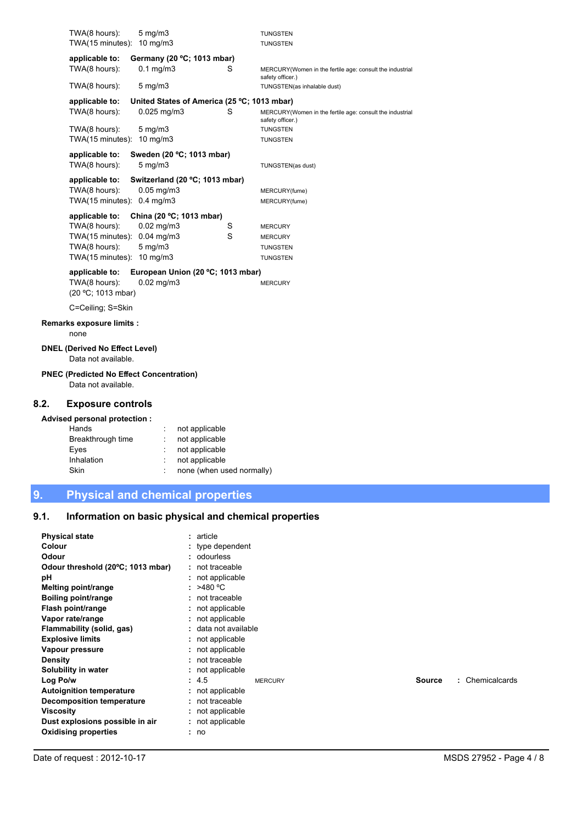|     | TWA(8 hours):                                                          | $5$ mg/m $3$                    |                                             |   | <b>TUNGSTEN</b>                                                              |
|-----|------------------------------------------------------------------------|---------------------------------|---------------------------------------------|---|------------------------------------------------------------------------------|
|     | TWA(15 minutes): 10 mg/m3                                              |                                 |                                             |   | <b>TUNGSTEN</b>                                                              |
|     | applicable to:                                                         |                                 | Germany (20 °C; 1013 mbar)                  |   |                                                                              |
|     | TWA(8 hours):                                                          | $0.1$ mg/m $3$                  |                                             | S | MERCURY(Women in the fertile age: consult the industrial<br>safety officer.) |
|     | TWA(8 hours):                                                          | $5 \text{ mg/m}$                |                                             |   | TUNGSTEN(as inhalable dust)                                                  |
|     | applicable to:                                                         |                                 | United States of America (25 °C; 1013 mbar) |   |                                                                              |
|     | TWA(8 hours):                                                          | $0.025$ mg/m $3$                |                                             | S | MERCURY(Women in the fertile age: consult the industrial<br>safety officer.) |
|     | TWA(8 hours):                                                          | $5 \text{ mg/m}$                |                                             |   | <b>TUNGSTEN</b>                                                              |
|     | TWA(15 minutes):                                                       | 10 $mg/m3$                      |                                             |   | <b>TUNGSTEN</b>                                                              |
|     | applicable to:<br>TWA(8 hours):                                        | $5$ mg/m $3$                    | Sweden (20 °C; 1013 mbar)                   |   | TUNGSTEN(as dust)                                                            |
|     |                                                                        |                                 |                                             |   |                                                                              |
|     | applicable to:                                                         |                                 | Switzerland (20 °C; 1013 mbar)              |   |                                                                              |
|     | TWA(8 hours):<br>TWA(15 minutes): 0.4 mg/m3                            | $0.05$ mg/m $3$                 |                                             |   | MERCURY(fume)                                                                |
|     |                                                                        |                                 |                                             |   | MERCURY(fume)                                                                |
|     | applicable to:                                                         |                                 | China (20 °C; 1013 mbar)                    |   |                                                                              |
|     | TWA(8 hours):                                                          | $0.02 \,\mathrm{mg/m3}$         |                                             | S | <b>MERCURY</b>                                                               |
|     | TWA(15 minutes):<br>TWA(8 hours):                                      | $0.04$ mg/m $3$<br>$5$ mg/m $3$ |                                             | S | <b>MERCURY</b>                                                               |
|     | TWA(15 minutes): 10 mg/m3                                              |                                 |                                             |   | <b>TUNGSTEN</b><br><b>TUNGSTEN</b>                                           |
|     |                                                                        |                                 |                                             |   |                                                                              |
|     | applicable to:                                                         |                                 | European Union (20 °C; 1013 mbar)           |   |                                                                              |
|     | TWA(8 hours):<br>(20 °C; 1013 mbar)                                    | $0.02$ mg/m $3$                 |                                             |   | <b>MERCURY</b>                                                               |
|     | C=Ceiling; S=Skin                                                      |                                 |                                             |   |                                                                              |
|     | Remarks exposure limits :<br>none                                      |                                 |                                             |   |                                                                              |
|     |                                                                        |                                 |                                             |   |                                                                              |
|     | <b>DNEL (Derived No Effect Level)</b><br>Data not available.           |                                 |                                             |   |                                                                              |
|     | <b>PNEC (Predicted No Effect Concentration)</b><br>Data not available. |                                 |                                             |   |                                                                              |
| .2. | <b>Exposure controls</b>                                               |                                 |                                             |   |                                                                              |
|     | Advised personal protection :                                          |                                 |                                             |   |                                                                              |
|     | Hands                                                                  |                                 | not applicable                              |   |                                                                              |
|     | Breakthrough time                                                      |                                 | not applicable                              |   |                                                                              |
|     | Eyes                                                                   |                                 | not applicable                              |   |                                                                              |
|     | Inhalation                                                             |                                 | not applicable                              |   |                                                                              |

9. **Physical and chemical properties** 

 $8.2.$ 

Skin

#### Information on basic physical and chemical properties  $9.1.$

: none (when used normally)

| <b>Physical state</b><br>Colour<br><b>Odour</b><br>Odour threshold (20°C; 1013 mbar)<br>рH<br>Melting point/range<br>Boiling point/range<br>Flash point/range<br>Vapor rate/range<br>Flammability (solid, gas)<br><b>Explosive limits</b> | : article<br>$:$ type dependent<br>: odourless<br>: not traceable<br>: not applicable<br>: $>480^{\circ}$ C<br>: not traceable<br>: not applicable<br>: not applicable<br>: data not available<br>: not applicable |                                  |
|-------------------------------------------------------------------------------------------------------------------------------------------------------------------------------------------------------------------------------------------|--------------------------------------------------------------------------------------------------------------------------------------------------------------------------------------------------------------------|----------------------------------|
| Vapour pressure<br><b>Density</b>                                                                                                                                                                                                         | : not applicable<br>$:$ not traceable                                                                                                                                                                              |                                  |
| Solubility in water<br>Log Po/w<br><b>Autoignition temperature</b><br>Decomposition temperature<br>Viscosity<br>Dust explosions possible in air<br><b>Oxidising properties</b>                                                            | : not applicable<br>: 4.5<br><b>MERCURY</b><br>: not applicable<br>: not traceable<br>: not applicable<br>: not applicable<br>: no                                                                                 | : Chemicalcards<br><b>Source</b> |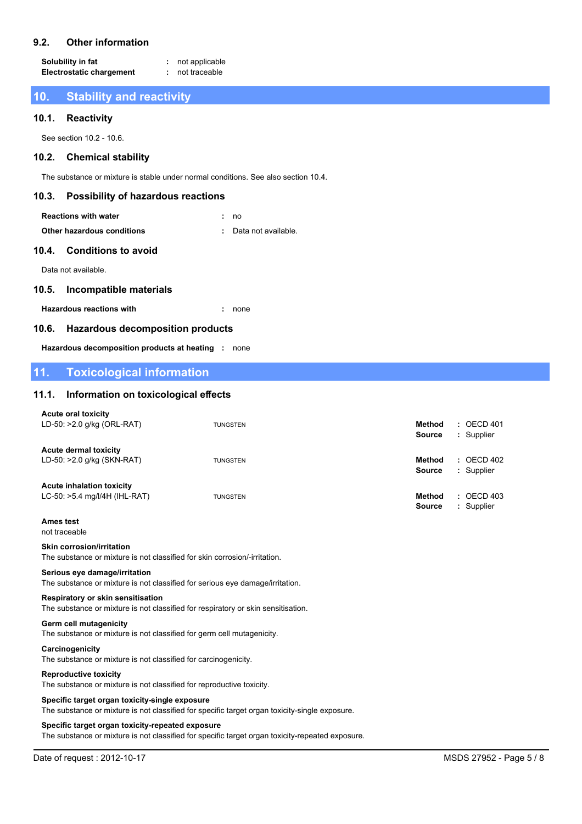#### $9.2.$ **Other information**

Solubility in fat : not applicable **Electrostatic chargement** : not traceable

#### $10<sub>1</sub>$ **Stability and reactivity**

#### **Reactivity**  $10.1.$

See section 10.2 - 10.6.

#### $10.2.$ **Chemical stability**

The substance or mixture is stable under normal conditions. See also section 10.4.

#### $10.3.$ **Possibility of hazardous reactions**

| <b>Reactions with water</b> | : no                  |  |
|-----------------------------|-----------------------|--|
| Other hazardous conditions  | : Data not available. |  |

# Other hazardous conditions

#### $10.4.$ **Conditions to avoid**

Data not available.

#### $10.5.$ **Incompatible materials**

**Hazardous reactions with** 

 $. none$ 

#### **Hazardous decomposition products**  $10.6.$

Hazardous decomposition products at heating : none

#### $11.$ **Toxicological information**

#### Information on toxicological effects  $11.1.$

| <b>Acute oral toxicity</b><br>LD-50: >2.0 g/kg (ORL-RAT)          | <b>TUNGSTEN</b> | $:$ OECD 401<br><b>Method</b><br><b>Source</b><br>: Supplier   |
|-------------------------------------------------------------------|-----------------|----------------------------------------------------------------|
| <b>Acute dermal toxicity</b><br>LD-50: >2.0 g/kg (SKN-RAT)        | <b>TUNGSTEN</b> | $\therefore$ OECD 402<br>Method<br><b>Source</b><br>: Supplier |
| <b>Acute inhalation toxicity</b><br>LC-50: >5.4 mg/l/4H (IHL-RAT) | <b>TUNGSTEN</b> | $:$ OECD 403<br><b>Method</b><br>: Supplier<br><b>Source</b>   |
| <b>Ames test</b>                                                  |                 |                                                                |

# not traceable

# **Skin corrosion/irritation**

The substance or mixture is not classified for skin corrosion/-irritation.

### Serious eye damage/irritation

The substance or mixture is not classified for serious eye damage/irritation.

### Respiratory or skin sensitisation

The substance or mixture is not classified for respiratory or skin sensitisation.

### **Germ cell mutagenicity**

The substance or mixture is not classified for germ cell mutagenicity.

### Carcinogenicity The substance or mixture is not classified for carcinogenicity.

### **Reproductive toxicity**

The substance or mixture is not classified for reproductive toxicity.

### Specific target organ toxicity-single exposure

The substance or mixture is not classified for specific target organ toxicity-single exposure.

### Specific target organ toxicity-repeated exposure

The substance or mixture is not classified for specific target organ toxicity-repeated exposure.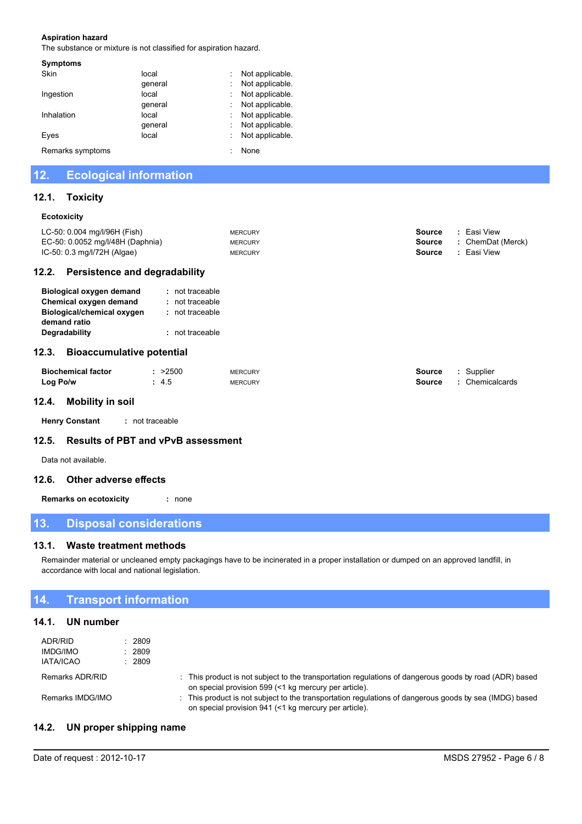### **Aspiration hazard**

The substance or mixture is not classified for aspiration hazard.

| <b>Symptoms</b>  |         |                |
|------------------|---------|----------------|
| Skin             | local   | Not applicable |
|                  | qeneral | Not applicable |
| Ingestion        | local   | Not applicable |
|                  | qeneral | Not applicable |
| Inhalation       | local   | Not applicable |
|                  | qeneral | Not applicable |
| Eyes             | local   | Not applicable |
| Remarks symptoms |         | None           |
|                  |         |                |

#### **Ecological information**  $12.$

#### $12.1.$ **Toxicity**

### Ecotoxicity

| 12.2.                                  | Persistence and degradability |                |        |                   |
|----------------------------------------|-------------------------------|----------------|--------|-------------------|
| IC-50: $0.3 \text{ mg/l}$ /72H (Algae) |                               | <b>MERCURY</b> | Source | : Easi View       |
| EC-50: 0.0052 mg/l/48H (Daphnia)       |                               | <b>MERCURY</b> | Source | : ChemDat (Merck) |
| LC-50: 0.004 mg/l/96H (Fish)           |                               | <b>MERCURY</b> | Source | Easi View         |
|                                        |                               |                |        |                   |

| Biological oxygen demand   | : not traceable |
|----------------------------|-----------------|
| Chemical oxygen demand     | : not traceable |
| Biological/chemical oxygen | : not traceable |
| demand ratio               |                 |
| Degradability              | : not traceable |
|                            |                 |

# 12.3. Bioaccumulative potential

| <b>Biochemical factor</b> | >2500 | <b>MERCURY</b> | Source | : Supplier      |
|---------------------------|-------|----------------|--------|-----------------|
| Log Po/w                  | 4.5   | <b>MERCURY</b> | Source | : Chemicalcards |

# 12.4. Mobility in soil

**Henry Constant** : not traceable

#### **Results of PBT and vPvB assessment**  $12.5.$

Data not available.

# 12.6. Other adverse effects

**Remarks on ecotoxicity** : none

#### $13.$ **Disposal considerations**

#### $13.1.$ **Waste treatment methods**

Remainder material or uncleaned empty packagings have to be incinerated in a proper installation or dumped on an approved landfill, in accordance with local and national legislation.

#### $14.$ **Transport information**

# 14.1. UN number

| ADR/RID<br><b>IMDG/IMO</b><br><b>IATA/ICAO</b> | 2809<br>2809<br>2809 |                                                                                                                                                                 |
|------------------------------------------------|----------------------|-----------------------------------------------------------------------------------------------------------------------------------------------------------------|
| Remarks ADR/RID                                |                      | : This product is not subject to the transportation regulations of dangerous goods by road (ADR) based<br>on special provision 599 (<1 kg mercury per article). |
| Remarks IMDG/IMO                               |                      | : This product is not subject to the transportation regulations of dangerous goods by sea (IMDG) based<br>on special provision 941 (<1 kg mercury per article). |

#### UN proper shipping name  $14.2.$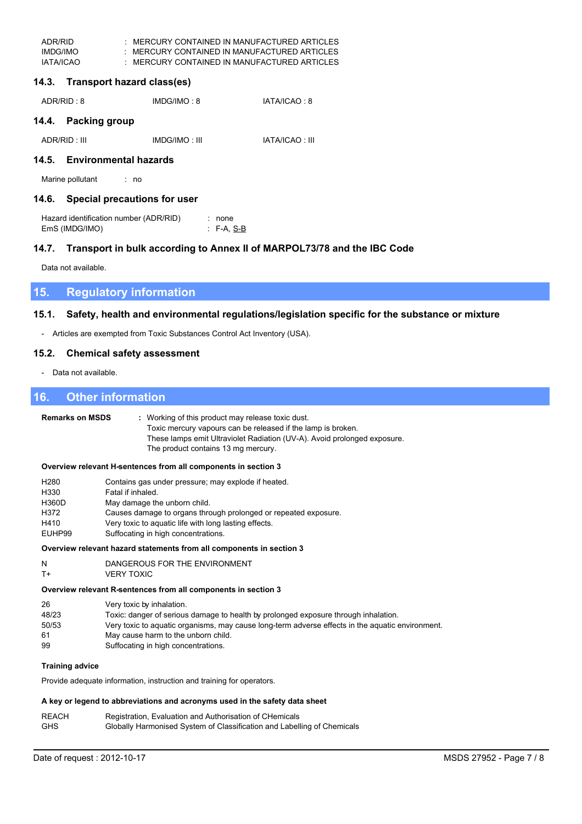| ADR/RID   | MERCURY CONTAINED IN MANUFACTURED ARTICLES |
|-----------|--------------------------------------------|
| IMDG/IMO  | MERCURY CONTAINED IN MANUFACTURED ARTICLES |
| IATA/ICAO | MERCURY CONTAINED IN MANUFACTURED ARTICLES |

# 14.3. Transport hazard class(es)

| ADR/RID : 8 | IMDG/IMO: 8 | IATA/ICAO: 8 |
|-------------|-------------|--------------|
|             |             |              |

# 14.4. Packing group

| ADR/RID: III | IMDG/IMO: III | <b>IATA/ICAO: III</b> |
|--------------|---------------|-----------------------|
|--------------|---------------|-----------------------|

# 14.5. Environmental hazards

Marine pollutant  $\cdot$  no

# 14.6. Special precautions for user

| Hazard identification number (ADR/RID) | : none           |
|----------------------------------------|------------------|
| EmS (IMDG/IMO)                         | $\cdot$ F-A, S-B |

#### Transport in bulk according to Annex II of MARPOL73/78 and the IBC Code  $14.7.$

Data not available.

#### **Regulatory information** 15.

#### Safety, health and environmental regulations/legislation specific for the substance or mixture  $15.1.$

- Articles are exempted from Toxic Substances Control Act Inventory (USA).

#### $15.2.$ **Chemical safety assessment**

- Data not available.

#### 16. **Other information**

| <b>Remarks on MSDS</b>                                      | : Working of this product may release toxic dust.<br>Toxic mercury vapours can be released if the lamp is broken.<br>These lamps emit Ultraviolet Radiation (UV-A). Avoid prolonged exposure.<br>The product contains 13 mg mercury.                                                               |  |  |  |
|-------------------------------------------------------------|----------------------------------------------------------------------------------------------------------------------------------------------------------------------------------------------------------------------------------------------------------------------------------------------------|--|--|--|
|                                                             | Overview relevant H-sentences from all components in section 3                                                                                                                                                                                                                                     |  |  |  |
| H <sub>280</sub><br>H330<br>H360D<br>H372<br>H410<br>EUHP99 | Contains gas under pressure; may explode if heated.<br>Fatal if inhaled.<br>May damage the unborn child.<br>Causes damage to organs through prolonged or repeated exposure.<br>Very toxic to aquatic life with long lasting effects.<br>Suffocating in high concentrations.                        |  |  |  |
|                                                             | Overview relevant hazard statements from all components in section 3                                                                                                                                                                                                                               |  |  |  |
| N<br>$T+$                                                   | DANGEROUS FOR THE ENVIRONMENT<br><b>VERY TOXIC</b>                                                                                                                                                                                                                                                 |  |  |  |
|                                                             | Overview relevant R-sentences from all components in section 3                                                                                                                                                                                                                                     |  |  |  |
| 26<br>48/23<br>50/53<br>61<br>99                            | Very toxic by inhalation.<br>Toxic: danger of serious damage to health by prolonged exposure through inhalation.<br>Very toxic to aquatic organisms, may cause long-term adverse effects in the aquatic environment.<br>May cause harm to the unborn child.<br>Suffocating in high concentrations. |  |  |  |
| <b>Training advice</b>                                      |                                                                                                                                                                                                                                                                                                    |  |  |  |
|                                                             | Provide adequate information, instruction and training for operators.                                                                                                                                                                                                                              |  |  |  |
|                                                             | A key or legend to abbreviations and acronyms used in the safety data sheet                                                                                                                                                                                                                        |  |  |  |
| <b>REACH</b>                                                | Registration, Evaluation and Authorisation of CHemicals                                                                                                                                                                                                                                            |  |  |  |

Globally Harmonised System of Classification and Labelling of Chemicals

**GHS**